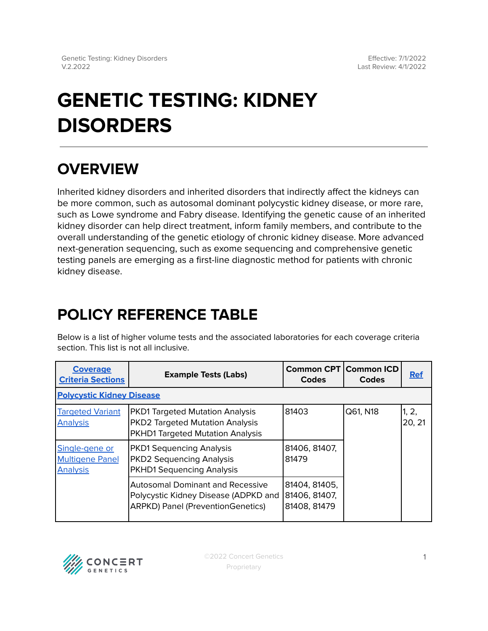# **GENETIC TESTING: KIDNEY DISORDERS**

## **OVERVIEW**

Inherited kidney disorders and inherited disorders that indirectly affect the kidneys can be more common, such as autosomal dominant polycystic kidney disease, or more rare, such as Lowe syndrome and Fabry disease. Identifying the genetic cause of an inherited kidney disorder can help direct treatment, inform family members, and contribute to the overall understanding of the genetic etiology of chronic kidney disease. More advanced next-generation sequencing, such as exome sequencing and comprehensive genetic testing panels are emerging as a first-line diagnostic method for patients with chronic kidney disease.

## <span id="page-0-0"></span>**POLICY REFERENCE TABLE**

Below is a list of higher volume tests and the associated laboratories for each coverage criteria section. This list is not all inclusive.

| <b>Coverage</b><br><b>Criteria Sections</b>                 | <b>Example Tests (Labs)</b>                                                                                                 | <b>Common CPT   Common ICD</b><br>Codes        | Codes    | <b>Ref</b>      |  |  |  |
|-------------------------------------------------------------|-----------------------------------------------------------------------------------------------------------------------------|------------------------------------------------|----------|-----------------|--|--|--|
| <b>Polycystic Kidney Disease</b>                            |                                                                                                                             |                                                |          |                 |  |  |  |
| <b>Targeted Variant</b><br><b>Analysis</b>                  | <b>PKD1 Targeted Mutation Analysis</b><br><b>PKD2 Targeted Mutation Analysis</b><br><b>PKHD1 Targeted Mutation Analysis</b> | 81403                                          | Q61, N18 | 1, 2,<br>20, 21 |  |  |  |
| Single-gene or<br><b>Multigene Panel</b><br><b>Analysis</b> | <b>PKD1 Sequencing Analysis</b><br><b>PKD2 Sequencing Analysis</b><br><b>PKHD1 Sequencing Analysis</b>                      | 81406, 81407,<br>81479                         |          |                 |  |  |  |
|                                                             | Autosomal Dominant and Recessive<br>Polycystic Kidney Disease (ADPKD and<br><b>ARPKD) Panel (PreventionGenetics)</b>        | 81404, 81405,<br>81406, 81407,<br>81408, 81479 |          |                 |  |  |  |

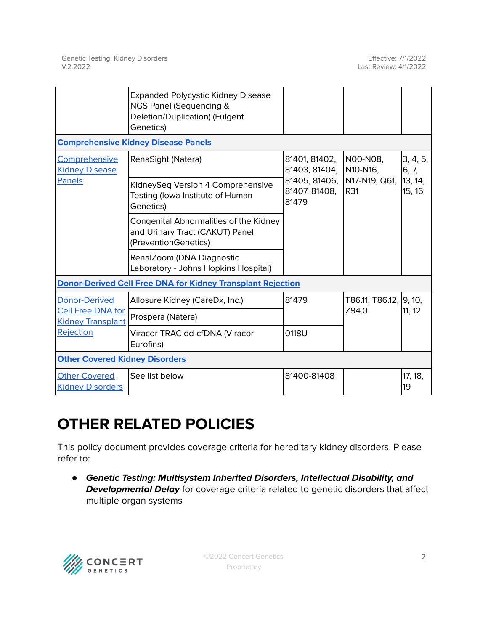|                                                                                           | <b>Expanded Polycystic Kidney Disease</b><br>NGS Panel (Sequencing &<br>Deletion/Duplication) (Fulgent<br>Genetics) |                                                                           |                                              |                                        |  |  |  |
|-------------------------------------------------------------------------------------------|---------------------------------------------------------------------------------------------------------------------|---------------------------------------------------------------------------|----------------------------------------------|----------------------------------------|--|--|--|
| <b>Comprehensive Kidney Disease Panels</b>                                                |                                                                                                                     |                                                                           |                                              |                                        |  |  |  |
| Comprehensive<br><b>Kidney Disease</b><br><b>Panels</b>                                   | RenaSight (Natera)                                                                                                  | 81401, 81402,<br>81403, 81404,<br>81405, 81406,<br>81407, 81408,<br>81479 | N00-N08,<br>N10-N16.<br>N17-N19, Q61,<br>R31 | 3, 4, 5,<br>6, 7,<br>13, 14,<br>15, 16 |  |  |  |
|                                                                                           | KidneySeq Version 4 Comprehensive<br>Testing (Iowa Institute of Human<br>Genetics)                                  |                                                                           |                                              |                                        |  |  |  |
|                                                                                           | Congenital Abnormalities of the Kidney<br>and Urinary Tract (CAKUT) Panel<br>(PreventionGenetics)                   |                                                                           |                                              |                                        |  |  |  |
|                                                                                           | RenalZoom (DNA Diagnostic<br>Laboratory - Johns Hopkins Hospital)                                                   |                                                                           |                                              |                                        |  |  |  |
| <b>Donor-Derived Cell Free DNA for Kidney Transplant Rejection</b>                        |                                                                                                                     |                                                                           |                                              |                                        |  |  |  |
| <b>Donor-Derived</b><br><b>Cell Free DNA for</b><br><b>Kidney Transplant</b><br>Rejection | Allosure Kidney (CareDx, Inc.)                                                                                      | 81479                                                                     | T86.11, T86.12, 99, 10,<br>Z94.0             | 11, 12                                 |  |  |  |
|                                                                                           | Prospera (Natera)                                                                                                   |                                                                           |                                              |                                        |  |  |  |
|                                                                                           | Viracor TRAC dd-cfDNA (Viracor<br>Eurofins)                                                                         | 0118U                                                                     |                                              |                                        |  |  |  |
| <b>Other Covered Kidney Disorders</b>                                                     |                                                                                                                     |                                                                           |                                              |                                        |  |  |  |
| <b>Other Covered</b><br><b>Kidney Disorders</b>                                           | See list below                                                                                                      | 81400-81408                                                               |                                              | 17, 18,<br>19                          |  |  |  |

## **OTHER RELATED POLICIES**

This policy document provides coverage criteria for hereditary kidney disorders. Please refer to:

● **Genetic Testing: Multisystem Inherited Disorders, Intellectual Disability, and Developmental Delay** for coverage criteria related to genetic disorders that affect multiple organ systems

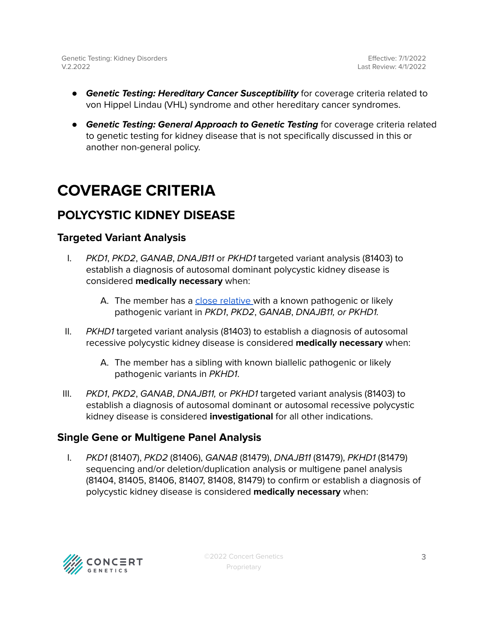- **Genetic Testing: Hereditary Cancer Susceptibility** for coverage criteria related to von Hippel Lindau (VHL) syndrome and other hereditary cancer syndromes.
- **Genetic Testing: General Approach to Genetic Testing** for coverage criteria related to genetic testing for kidney disease that is not specifically discussed in this or another non-general policy.

## <span id="page-2-0"></span>**COVERAGE CRITERIA**

### <span id="page-2-1"></span>**POLYCYSTIC KIDNEY DISEASE**

### <span id="page-2-2"></span>**Targeted Variant Analysis**

- I. PKD1, PKD2, GANAB, DNAJB11 or PKHD1 targeted variant analysis (81403) to establish a diagnosis of autosomal dominant polycystic kidney disease is considered **medically necessary** when:
	- A. The member has a close [relative](#page-5-0) with a known pathogenic or likely pathogenic variant in PKD1, PKD2, GANAB, DNAJB11, or PKHD1.
- II. PKHD1 targeted variant analysis (81403) to establish a diagnosis of autosomal recessive polycystic kidney disease is considered **medically necessary** when:
	- A. The member has a sibling with known biallelic pathogenic or likely pathogenic variants in PKHD1.
- III. PKD1, PKD2, GANAB, DNAJB11, or PKHD1 targeted variant analysis (81403) to establish a diagnosis of autosomal dominant or autosomal recessive polycystic kidney disease is considered **investigational** for all other indications.

### <span id="page-2-3"></span>**Single Gene or Multigene Panel Analysis**

I. PKD1 (81407), PKD2 (81406), GANAB (81479), DNAJB11 (81479), PKHD1 (81479) sequencing and/or deletion/duplication analysis or multigene panel analysis (81404, 81405, 81406, 81407, 81408, 81479) to confirm or establish a diagnosis of polycystic kidney disease is considered **medically necessary** when:

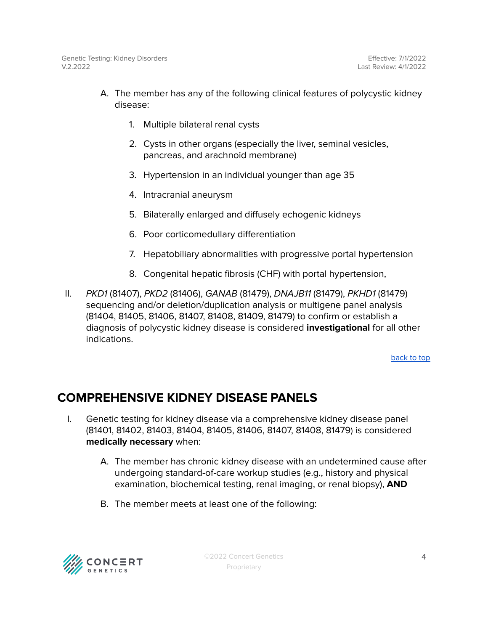- A. The member has any of the following clinical features of polycystic kidney disease:
	- 1. Multiple bilateral renal cysts
	- 2. Cysts in other organs (especially the liver, seminal vesicles, pancreas, and arachnoid membrane)
	- 3. Hypertension in an individual younger than age 35
	- 4. Intracranial aneurysm
	- 5. Bilaterally enlarged and diffusely echogenic kidneys
	- 6. Poor corticomedullary differentiation
	- 7. Hepatobiliary abnormalities with progressive portal hypertension
	- 8. Congenital hepatic fibrosis (CHF) with portal hypertension,
- II. PKD1 (81407), PKD2 (81406), GANAB (81479), DNAJB11 (81479), PKHD1 (81479) sequencing and/or deletion/duplication analysis or multigene panel analysis (81404, 81405, 81406, 81407, 81408, 81409, 81479) to confirm or establish a diagnosis of polycystic kidney disease is considered **investigational** for all other indications.

[back](#page-0-0) to top

### <span id="page-3-0"></span>**COMPREHENSIVE KIDNEY DISEASE PANELS**

- I. Genetic testing for kidney disease via a comprehensive kidney disease panel (81401, 81402, 81403, 81404, 81405, 81406, 81407, 81408, 81479) is considered **medically necessary** when:
	- A. The member has chronic kidney disease with an undetermined cause after undergoing standard-of-care workup studies (e.g., history and physical examination, biochemical testing, renal imaging, or renal biopsy), **AND**
	- B. The member meets at least one of the following:

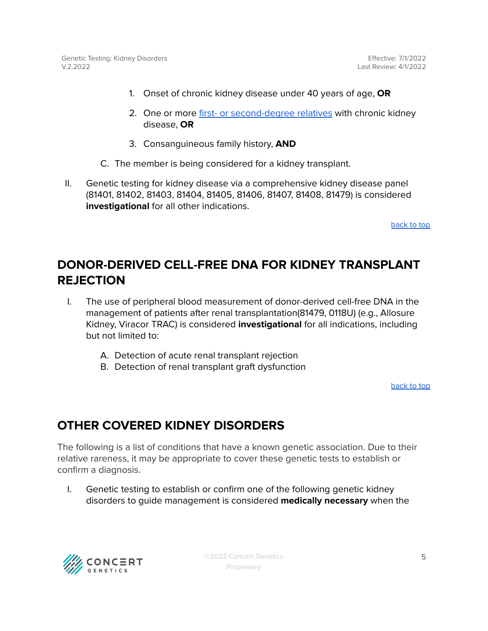- 1. Onset of chronic kidney disease under 40 years of age, **OR**
- 2. One or more first- or [second-degree](#page-5-0) relatives with chronic kidney disease, **OR**
- 3. Consanguineous family history, **AND**
- C. The member is being considered for a kidney transplant.
- II. Genetic testing for kidney disease via a comprehensive kidney disease panel (81401, 81402, 81403, 81404, 81405, 81406, 81407, 81408, 81479) is considered **investigational** for all other indications.

[back](#page-0-0) to top

### <span id="page-4-0"></span>**DONOR-DERIVED CELL-FREE DNA FOR KIDNEY TRANSPLANT REJECTION**

- I. The use of peripheral blood measurement of donor-derived cell-free DNA in the management of patients after renal transplantation(81479, 0118U) (e.g., Allosure Kidney, Viracor TRAC) is considered **investigational** for all indications, including but not limited to:
	- A. Detection of acute renal transplant rejection
	- B. Detection of renal transplant graft dysfunction

[back](#page-0-0) to top

### <span id="page-4-1"></span>**OTHER COVERED KIDNEY DISORDERS**

The following is a list of conditions that have a known genetic association. Due to their relative rareness, it may be appropriate to cover these genetic tests to establish or confirm a diagnosis.

I. Genetic testing to establish or confirm one of the following genetic kidney disorders to guide management is considered **medically necessary** when the



©2022 Concert Genetics Proprietary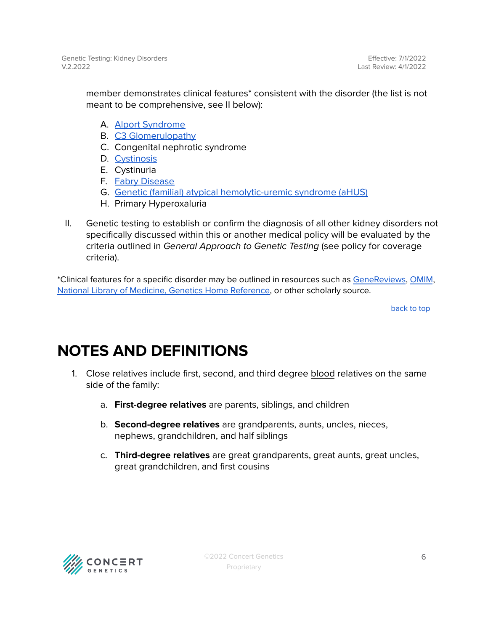member demonstrates clinical features\* consistent with the disorder (the list is not meant to be comprehensive, see II below):

- A. Alport [Syndrome](https://www.ncbi.nlm.nih.gov/books/NBK1207/)
- B. C3 [Glomerulopathy](https://www.ncbi.nlm.nih.gov/books/NBK1425/)
- C. Congenital nephrotic syndrome
- D. [Cystinosis](https://www.ncbi.nlm.nih.gov/books/NBK1400/#ctns.Molecular_Genetics)
- E. Cystinuria
- F. Fabry [Disease](https://www.ncbi.nlm.nih.gov/books/NBK1292/)
- G. Genetic (familial) atypical [hemolytic-uremic](https://www.ncbi.nlm.nih.gov/books/NBK1367/) syndrome (aHUS)
- H. Primary Hyperoxaluria
- II. Genetic testing to establish or confirm the diagnosis of all other kidney disorders not specifically discussed within this or another medical policy will be evaluated by the criteria outlined in General Approach to Genetic Testing (see policy for coverage criteria).

\*Clinical features for a specific disorder may be outlined in resources such as [GeneReviews](https://www.ncbi.nlm.nih.gov/books/NBK1116/), [OMIM](https://www.omim.org/), National Library of Medicine, Genetics Home [Reference,](https://medlineplus.gov/genetics/) or other scholarly source.

[back](#page-0-0) to top

## <span id="page-5-0"></span>**NOTES AND DEFINITIONS**

- 1. Close relatives include first, second, and third degree blood relatives on the same side of the family:
	- a. **First-degree relatives** are parents, siblings, and children
	- b. **Second-degree relatives** are grandparents, aunts, uncles, nieces, nephews, grandchildren, and half siblings
	- c. **Third-degree relatives** are great grandparents, great aunts, great uncles, great grandchildren, and first cousins

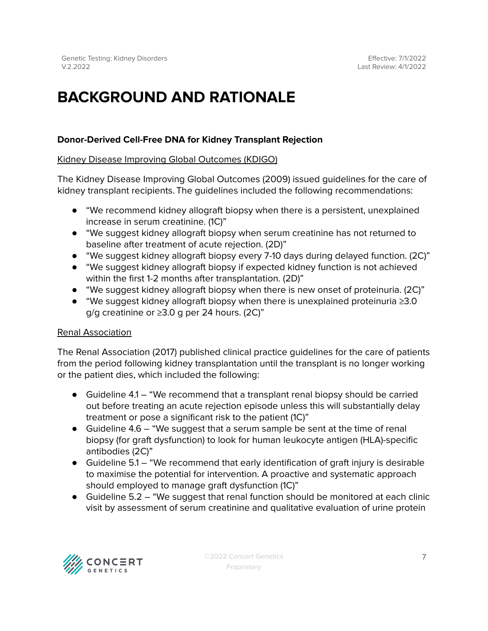## **BACKGROUND AND RATIONALE**

### **Donor-Derived Cell-Free DNA for Kidney Transplant Rejection**

#### Kidney Disease Improving Global Outcomes (KDIGO)

The Kidney Disease Improving Global Outcomes (2009) issued guidelines for the care of kidney transplant recipients. The guidelines included the following recommendations:

- "We recommend kidney allograft biopsy when there is a persistent, unexplained increase in serum creatinine. (1C)"
- "We suggest kidney allograft biopsy when serum creatinine has not returned to baseline after treatment of acute rejection. (2D)"
- "We suggest kidney allograft biopsy every 7-10 days during delayed function. (2C)"
- "We suggest kidney allograft biopsy if expected kidney function is not achieved within the first 1-2 months after transplantation. (2D)"
- "We suggest kidney allograft biopsy when there is new onset of proteinuria. (2C)"
- "We suggest kidney allograft biopsy when there is unexplained proteinuria ≥3.0 g/g creatinine or ≥3.0 g per 24 hours. (2C)"

#### Renal Association

The Renal Association (2017) published clinical practice guidelines for the care of patients from the period following kidney transplantation until the transplant is no longer working or the patient dies, which included the following:

- Guideline 4.1 "We recommend that a transplant renal biopsy should be carried out before treating an acute rejection episode unless this will substantially delay treatment or pose a significant risk to the patient (1C)"
- Guideline 4.6 "We suggest that a serum sample be sent at the time of renal biopsy (for graft dysfunction) to look for human leukocyte antigen (HLA)-specific antibodies (2C)"
- Guideline 5.1 "We recommend that early identification of graft injury is desirable to maximise the potential for intervention. A proactive and systematic approach should employed to manage graft dysfunction (1C)"
- Guideline 5.2 "We suggest that renal function should be monitored at each clinic visit by assessment of serum creatinine and qualitative evaluation of urine protein

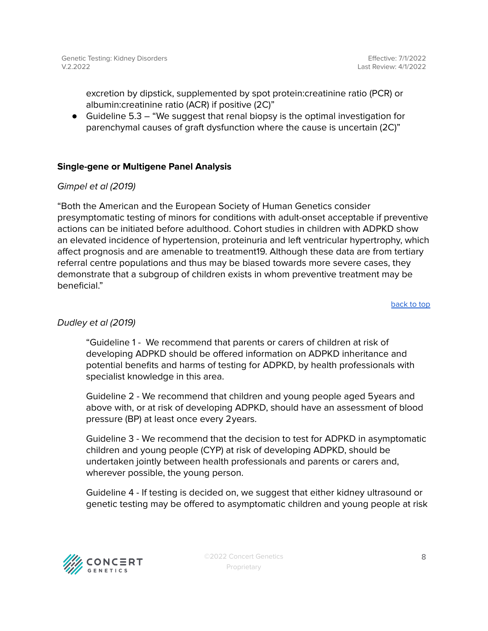excretion by dipstick, supplemented by spot protein:creatinine ratio (PCR) or albumin:creatinine ratio (ACR) if positive (2C)"

● Guideline 5.3 – "We suggest that renal biopsy is the optimal investigation for parenchymal causes of graft dysfunction where the cause is uncertain (2C)"

#### **Single-gene or Multigene Panel Analysis**

#### Gimpel et al (2019)

"Both the American and the European Society of Human Genetics consider presymptomatic testing of minors for conditions with adult-onset acceptable if preventive actions can be initiated before adulthood. Cohort studies in children with ADPKD show an elevated incidence of hypertension, proteinuria and left ventricular hypertrophy, which affect prognosis and are amenable to treatment19. Although these data are from tertiary referral centre populations and thus may be biased towards more severe cases, they demonstrate that a subgroup of children exists in whom preventive treatment may be beneficial."

[back](#page-0-0) to top

#### Dudley et al (2019)

"Guideline 1 - We recommend that parents or carers of children at risk of developing ADPKD should be offered information on ADPKD inheritance and potential benefits and harms of testing for ADPKD, by health professionals with specialist knowledge in this area.

Guideline 2 - We recommend that children and young people aged 5years and above with, or at risk of developing ADPKD, should have an assessment of blood pressure (BP) at least once every 2years.

Guideline 3 - We recommend that the decision to test for ADPKD in asymptomatic children and young people (CYP) at risk of developing ADPKD, should be undertaken jointly between health professionals and parents or carers and, wherever possible, the young person.

Guideline 4 - If testing is decided on, we suggest that either kidney ultrasound or genetic testing may be offered to asymptomatic children and young people at risk



©2022 Concert Genetics Proprietary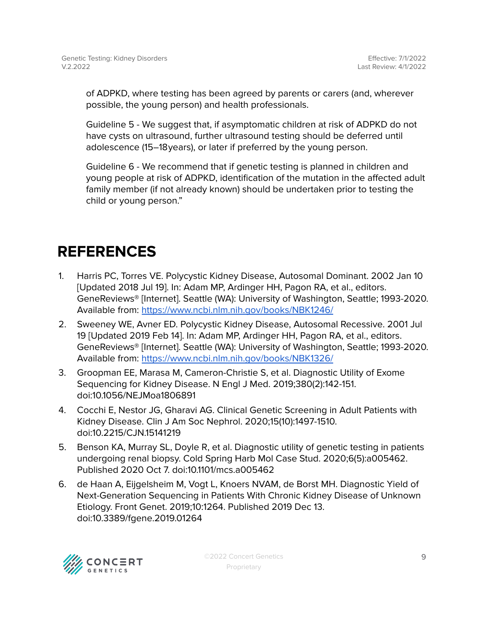of ADPKD, where testing has been agreed by parents or carers (and, wherever possible, the young person) and health professionals.

Guideline 5 - We suggest that, if asymptomatic children at risk of ADPKD do not have cysts on ultrasound, further ultrasound testing should be deferred until adolescence (15–18years), or later if preferred by the young person.

Guideline 6 - We recommend that if genetic testing is planned in children and young people at risk of ADPKD, identification of the mutation in the affected adult family member (if not already known) should be undertaken prior to testing the child or young person."

## <span id="page-8-0"></span>**REFERENCES**

- 1. Harris PC, Torres VE. Polycystic Kidney Disease, Autosomal Dominant. 2002 Jan 10 [Updated 2018 Jul 19]. In: Adam MP, Ardinger HH, Pagon RA, et al., editors. GeneReviews® [Internet]. Seattle (WA): University of Washington, Seattle; 1993-2020. Available from: <https://www.ncbi.nlm.nih.gov/books/NBK1246/>
- 2. Sweeney WE, Avner ED. Polycystic Kidney Disease, Autosomal Recessive. 2001 Jul 19 [Updated 2019 Feb 14]. In: Adam MP, Ardinger HH, Pagon RA, et al., editors. GeneReviews® [Internet]. Seattle (WA): University of Washington, Seattle; 1993-2020. Available from: <https://www.ncbi.nlm.nih.gov/books/NBK1326/>
- 3. Groopman EE, Marasa M, Cameron-Christie S, et al. Diagnostic Utility of Exome Sequencing for Kidney Disease. N Engl J Med. 2019;380(2):142-151. doi:10.1056/NEJMoa1806891
- 4. Cocchi E, Nestor JG, Gharavi AG. Clinical Genetic Screening in Adult Patients with Kidney Disease. Clin J Am Soc Nephrol. 2020;15(10):1497-1510. doi:10.2215/CJN.15141219
- 5. Benson KA, Murray SL, Doyle R, et al. Diagnostic utility of genetic testing in patients undergoing renal biopsy. Cold Spring Harb Mol Case Stud. 2020;6(5):a005462. Published 2020 Oct 7. doi:10.1101/mcs.a005462
- 6. de Haan A, Eijgelsheim M, Vogt L, Knoers NVAM, de Borst MH. Diagnostic Yield of Next-Generation Sequencing in Patients With Chronic Kidney Disease of Unknown Etiology. Front Genet. 2019;10:1264. Published 2019 Dec 13. doi:10.3389/fgene.2019.01264

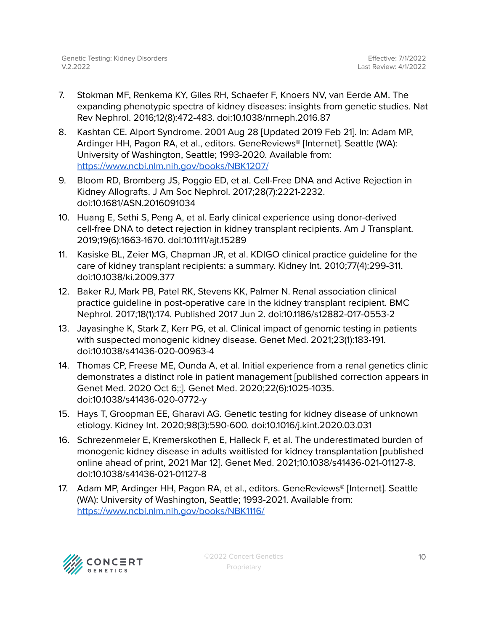- 7. Stokman MF, Renkema KY, Giles RH, Schaefer F, Knoers NV, van Eerde AM. The expanding phenotypic spectra of kidney diseases: insights from genetic studies. Nat Rev Nephrol. 2016;12(8):472-483. doi:10.1038/nrneph.2016.87
- 8. Kashtan CE. Alport Syndrome. 2001 Aug 28 [Updated 2019 Feb 21]. In: Adam MP, Ardinger HH, Pagon RA, et al., editors. GeneReviews® [Internet]. Seattle (WA): University of Washington, Seattle; 1993-2020. Available from: <https://www.ncbi.nlm.nih.gov/books/NBK1207/>
- 9. Bloom RD, Bromberg JS, Poggio ED, et al. Cell-Free DNA and Active Rejection in Kidney Allografts. J Am Soc Nephrol. 2017;28(7):2221-2232. doi:10.1681/ASN.2016091034
- 10. Huang E, Sethi S, Peng A, et al. Early clinical experience using donor-derived cell-free DNA to detect rejection in kidney transplant recipients. Am J Transplant. 2019;19(6):1663-1670. doi:10.1111/ajt.15289
- 11. Kasiske BL, Zeier MG, Chapman JR, et al. KDIGO clinical practice guideline for the care of kidney transplant recipients: a summary. Kidney Int. 2010;77(4):299-311. doi:10.1038/ki.2009.377
- 12. Baker RJ, Mark PB, Patel RK, Stevens KK, Palmer N. Renal association clinical practice guideline in post-operative care in the kidney transplant recipient. BMC Nephrol. 2017;18(1):174. Published 2017 Jun 2. doi:10.1186/s12882-017-0553-2
- 13. Jayasinghe K, Stark Z, Kerr PG, et al. Clinical impact of genomic testing in patients with suspected monogenic kidney disease. Genet Med. 2021;23(1):183-191. doi:10.1038/s41436-020-00963-4
- 14. Thomas CP, Freese ME, Ounda A, et al. Initial experience from a renal genetics clinic demonstrates a distinct role in patient management [published correction appears in Genet Med. 2020 Oct 6;:]. Genet Med. 2020;22(6):1025-1035. doi:10.1038/s41436-020-0772-y
- 15. Hays T, Groopman EE, Gharavi AG. Genetic testing for kidney disease of unknown etiology. Kidney Int. 2020;98(3):590-600. doi:10.1016/j.kint.2020.03.031
- 16. Schrezenmeier E, Kremerskothen E, Halleck F, et al. The underestimated burden of monogenic kidney disease in adults waitlisted for kidney transplantation [published online ahead of print, 2021 Mar 12]. Genet Med. 2021;10.1038/s41436-021-01127-8. doi:10.1038/s41436-021-01127-8
- 17. Adam MP, Ardinger HH, Pagon RA, et al., editors. GeneReviews® [Internet]. Seattle (WA): University of Washington, Seattle; 1993-2021. Available from: <https://www.ncbi.nlm.nih.gov/books/NBK1116/>